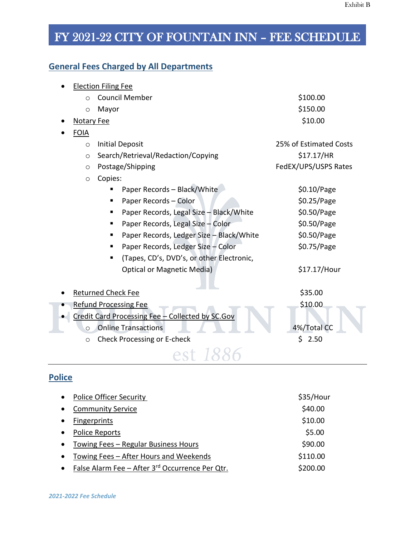#### **General Fees Charged by All Departments**

|                   | <b>Election Filing Fee</b> |                                                  |                        |
|-------------------|----------------------------|--------------------------------------------------|------------------------|
| $\Omega$          |                            | <b>Council Member</b>                            | \$100.00               |
| $\circ$           | Mayor                      |                                                  | \$150.00               |
| <b>Notary Fee</b> |                            |                                                  | \$10.00                |
| <b>FOIA</b>       |                            |                                                  |                        |
| $\circ$           |                            | <b>Initial Deposit</b>                           | 25% of Estimated Costs |
| $\circ$           |                            | Search/Retrieval/Redaction/Copying               | \$17.17/HR             |
| $\circ$           |                            | Postage/Shipping                                 | FedEX/UPS/USPS Rates   |
| $\circ$           | Copies:                    |                                                  |                        |
|                   |                            | Paper Records - Black/White                      | \$0.10/Page            |
|                   | п                          | Paper Records - Color                            | \$0.25/Page            |
|                   |                            | Paper Records, Legal Size - Black/White          | \$0.50/Page            |
|                   |                            | Paper Records, Legal Size - Color                | \$0.50/Page            |
|                   | п                          | Paper Records, Ledger Size - Black/White         | \$0.50/Page            |
|                   | п                          | Paper Records, Ledger Size - Color               | \$0.75/Page            |
|                   |                            | (Tapes, CD's, DVD's, or other Electronic,        |                        |
|                   |                            | <b>Optical or Magnetic Media)</b>                | \$17.17/Hour           |
|                   | <b>Returned Check Fee</b>  |                                                  | \$35.00                |
|                   |                            | <b>Refund Processing Fee</b>                     | \$10.00                |
|                   |                            | Credit Card Processing Fee - Collected by SC.Gov |                        |
| $\circ$           |                            | <b>Online Transactions</b>                       | 4%/Total CC            |
| $\circ$           |                            | Check Processing or E-check                      | 2.50<br>Ś.             |
|                   |                            |                                                  |                        |

#### **Police**

| $\bullet$ | <b>Police Officer Security</b>                  | \$35/Hour |
|-----------|-------------------------------------------------|-----------|
| $\bullet$ | <b>Community Service</b>                        | \$40.00   |
| $\bullet$ | <b>Fingerprints</b>                             | \$10.00   |
| $\bullet$ | <b>Police Reports</b>                           | \$5.00    |
| $\bullet$ | Towing Fees - Regular Business Hours            | \$90.00   |
| $\bullet$ | Towing Fees – After Hours and Weekends          | \$110.00  |
| $\bullet$ | False Alarm Fee - After 3rd Occurrence Per Qtr. | \$200.00  |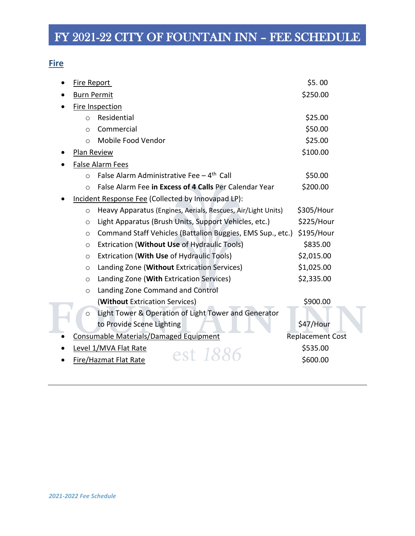#### **Fire**

| <b>Fire Report</b> |                                                              | \$5.00                  |
|--------------------|--------------------------------------------------------------|-------------------------|
| <b>Burn Permit</b> |                                                              | \$250.00                |
|                    | Fire Inspection                                              |                         |
| $\circ$            | Residential                                                  | \$25.00                 |
| $\circ$            | Commercial                                                   | \$50.00                 |
| $\circ$            | Mobile Food Vendor                                           | \$25.00                 |
| Plan Review        |                                                              | \$100.00                |
|                    | <b>False Alarm Fees</b>                                      |                         |
| $\circ$            | False Alarm Administrative Fee $-4$ <sup>th</sup> Call       | \$50.00                 |
| $\circ$            | False Alarm Fee in Excess of 4 Calls Per Calendar Year       | \$200.00                |
|                    | Incident Response Fee (Collected by Innovapad LP):           |                         |
| $\circ$            | Heavy Apparatus (Engines, Aerials, Rescues, Air/Light Units) | \$305/Hour              |
| $\circ$            | Light Apparatus (Brush Units, Support Vehicles, etc.)        | \$225/Hour              |
| $\circ$            | Command Staff Vehicles (Battalion Buggies, EMS Sup., etc.)   | \$195/Hour              |
| $\circ$            | Extrication (Without Use of Hydraulic Tools)                 | \$835.00                |
| $\circ$            | Extrication (With Use of Hydraulic Tools)                    | \$2,015.00              |
| $\circ$            | Landing Zone (Without Extrication Services)                  | \$1,025.00              |
| $\circ$            | Landing Zone (With Extrication Services)                     | \$2,335.00              |
| $\circ$            | Landing Zone Command and Control                             |                         |
|                    | (Without Extrication Services)                               | \$900.00                |
| $\circ$            | Light Tower & Operation of Light Tower and Generator         |                         |
|                    | to Provide Scene Lighting                                    | \$47/Hour               |
|                    | Consumable Materials/Damaged Equipment                       | <b>Replacement Cost</b> |
|                    | Level 1/MVA Flat Rate<br>est 18                              | \$535.00                |
|                    | Fire/Hazmat Flat Rate                                        | \$600.00                |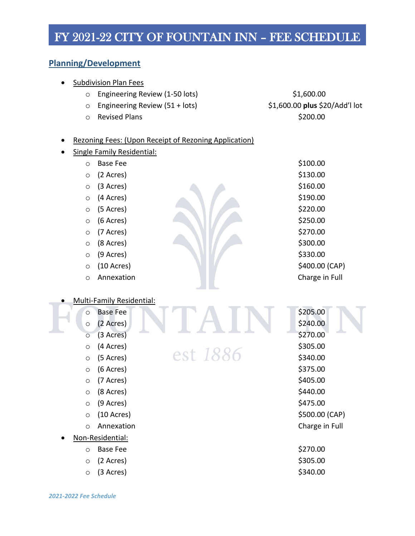#### **Planning/Development**

| <b>Subdivision Plan Fees</b>                          |                                |
|-------------------------------------------------------|--------------------------------|
| Engineering Review (1-50 lots)<br>$\circ$             | \$1,600.00                     |
| Engineering Review (51 + lots)<br>$\circ$             | \$1,600.00 plus \$20/Add'l lot |
| <b>Revised Plans</b><br>$\circ$                       | \$200.00                       |
|                                                       |                                |
| Rezoning Fees: (Upon Receipt of Rezoning Application) |                                |
| <b>Single Family Residential:</b>                     |                                |
| <b>Base Fee</b><br>$\circ$                            | \$100.00                       |
| (2 Acres)<br>$\circ$                                  | \$130.00                       |
| (3 Acres)<br>$\circ$                                  | \$160.00                       |
| (4 Acres)<br>$\circ$                                  | \$190.00                       |
| (5 Acres)<br>$\circ$                                  | \$220.00                       |
| (6 Acres)<br>$\circ$                                  | \$250.00                       |
| (7 Acres)<br>$\circ$                                  | \$270.00                       |
| (8 Acres)<br>$\circ$                                  | \$300.00                       |
| (9 Acres)<br>$\circ$                                  | \$330.00                       |
| $(10 \text{ A} \text{c} \text{res})$<br>$\circ$       | \$400.00 (CAP)                 |
| Annexation<br>$\circ$                                 | Charge in Full                 |
|                                                       |                                |
| <b>Multi-Family Residential:</b>                      |                                |
| <b>Base Fee</b><br>$\circ$                            | \$205.00                       |
| (2 Acres)<br>$\circ$                                  | \$240.00                       |
| (3 Acres)<br>$\circ$                                  | \$270.00                       |
| (4 Acres)<br>$\circ$                                  | \$305.00                       |
| est 1886<br>(5 Acres)<br>$\circ$                      | \$340.00                       |
| (6 Acres)<br>$\circ$                                  | \$375.00                       |
| (7 Acres)<br>O                                        | \$405.00                       |
| (8 Acres)<br>$\circ$                                  | \$440.00                       |
| (9 Acres)<br>$\circ$                                  | \$475.00                       |
| $(10 \text{ A} \text{c} \text{res})$<br>$\circ$       | \$500.00 (CAP)                 |
| Annexation<br>$\circ$                                 | Charge in Full                 |
| Non-Residential:                                      |                                |
| <b>Base Fee</b><br>$\circ$                            | \$270.00                       |
| (2 Acres)<br>$\circ$                                  | \$305.00                       |
| (3 Acres)<br>$\circ$                                  | \$340.00                       |
|                                                       |                                |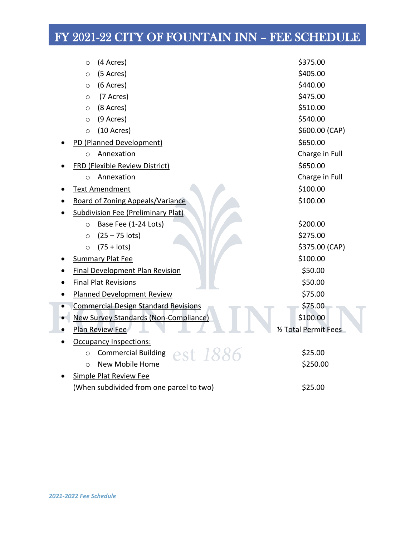|           | (4 Acres)<br>$\circ$                            | \$375.00              |
|-----------|-------------------------------------------------|-----------------------|
|           | (5 Acres)<br>$\circ$                            | \$405.00              |
|           | (6 Acres)<br>$\circ$                            | \$440.00              |
|           | (7 Acres)<br>$\circ$                            | \$475.00              |
|           | (8 Acres)<br>$\circ$                            | \$510.00              |
|           | (9 Acres)<br>$\circ$                            | \$540.00              |
|           | $(10 \text{ A} \text{c} \text{res})$<br>$\circ$ | \$600.00 (CAP)        |
|           | PD (Planned Development)                        | \$650.00              |
|           | Annexation<br>$\circ$                           | Charge in Full        |
|           | <b>FRD (Flexible Review District)</b>           | \$650.00              |
|           | Annexation<br>$\circ$                           | Charge in Full        |
|           | <b>Text Amendment</b>                           | \$100.00              |
| $\bullet$ | Board of Zoning Appeals/Variance                | \$100.00              |
|           | <b>Subdivision Fee (Preliminary Plat)</b>       |                       |
|           | Base Fee (1-24 Lots)<br>$\circ$                 | \$200.00              |
|           | $(25 - 75$ lots)<br>$\circ$                     | \$275.00              |
|           | $(75 + \text{lots})$<br>$\circ$                 | \$375.00 (CAP)        |
|           | <b>Summary Plat Fee</b>                         | \$100.00              |
| ٠         | <b>Final Development Plan Revision</b>          | \$50.00               |
| $\bullet$ | <b>Final Plat Revisions</b>                     | \$50.00               |
|           | <b>Planned Development Review</b>               | \$75.00               |
|           | <b>Commercial Design Standard Revisions</b>     | \$75.00               |
|           | <b>New Survey Standards (Non-Compliance)</b>    | \$100.00              |
|           | Plan Review Fee                                 | 1/2 Total Permit Fees |
|           | <b>Occupancy Inspections:</b>                   |                       |
|           | Commercial Building $est$ 1886<br>$\circ$       | \$25.00               |
|           | New Mobile Home<br>$\circ$                      | \$250.00              |
|           | Simple Plat Review Fee                          |                       |
|           | (When subdivided from one parcel to two)        | \$25.00               |

I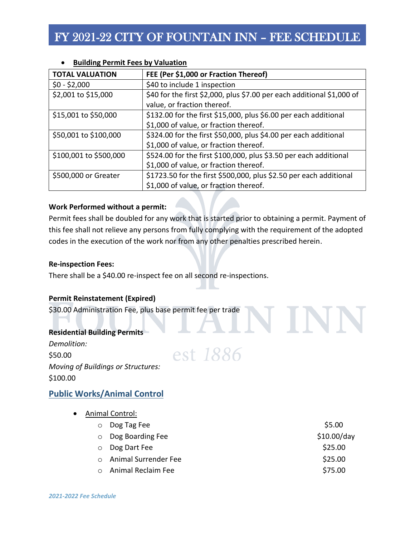| <b>TOTAL VALUATION</b> | FEE (Per \$1,000 or Fraction Thereof)                                  |
|------------------------|------------------------------------------------------------------------|
| $$0 - $2,000$          | \$40 to include 1 inspection                                           |
| \$2,001 to \$15,000    | \$40 for the first \$2,000, plus \$7.00 per each additional \$1,000 of |
|                        | value, or fraction thereof.                                            |
| \$15,001 to \$50,000   | \$132.00 for the first \$15,000, plus \$6.00 per each additional       |
|                        | \$1,000 of value, or fraction thereof.                                 |
| \$50,001 to \$100,000  | \$324.00 for the first \$50,000, plus \$4.00 per each additional       |
|                        | \$1,000 of value, or fraction thereof.                                 |
| \$100,001 to \$500,000 | \$524.00 for the first \$100,000, plus \$3.50 per each additional      |
|                        | \$1,000 of value, or fraction thereof.                                 |
| \$500,000 or Greater   | \$1723.50 for the first \$500,000, plus \$2.50 per each additional     |
|                        | \$1,000 of value, or fraction thereof.                                 |

#### • **Building Permit Fees by Valuation**

#### **Work Performed without a permit:**

Permit fees shall be doubled for any work that is started prior to obtaining a permit. Payment of this fee shall not relieve any persons from fully complying with the requirement of the adopted codes in the execution of the work nor from any other penalties prescribed herein.

#### **Re-inspection Fees:**

There shall be a \$40.00 re-inspect fee on all second re-inspections.

#### **Permit Reinstatement (Expired)**

\$30.00 Administration Fee, plus base permit fee per trade

#### **Residential Building Permits**

*Demolition:* \$50.00 *Moving of Buildings or Structures:* \$100.00

#### **Public Works/Animal Control**

- Animal Control:
	- o Dog Tag Fee  $$5.00$ o Dog Boarding Fee  $$10.00/day$ o Dog Dart Fee  $$25.00$

est 1886

- o Animal Surrender Fee  $$25.00$ 
	- o Animal Reclaim Fee  $$75.00$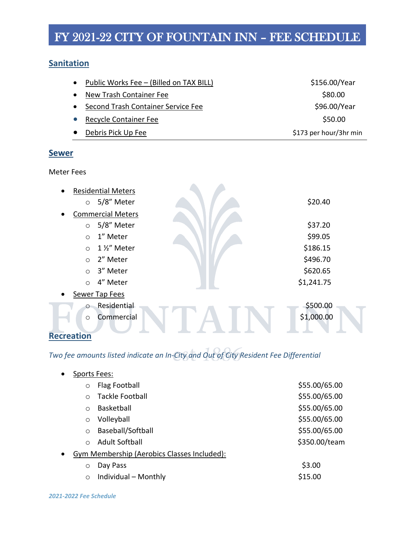#### **Sanitation**

| Public Works Fee - (Billed on TAX BILL)<br>$\bullet$ | \$156.00/Year          |
|------------------------------------------------------|------------------------|
| New Trash Container Fee                              | \$80.00                |
| Second Trash Container Service Fee<br>$\bullet$      | \$96.00/Year           |
| <b>Recycle Container Fee</b>                         | \$50.00                |
| Debris Pick Up Fee                                   | \$173 per hour/3hr min |

#### **Sewer**

Meter Fees

| <b>Residential Meters</b><br>$\bullet$ |            |
|----------------------------------------|------------|
| $\circ$ 5/8" Meter                     | \$20.40    |
| <b>Commercial Meters</b><br>$\bullet$  |            |
| 5/8" Meter<br>$\circ$                  | \$37.20    |
| 1" Meter<br>$\circ$                    | \$99.05    |
| 1 1/2" Meter<br>$\circ$                | \$186.15   |
| 2" Meter<br>$\bigcirc$                 | \$496.70   |
| 3" Meter<br>$\circ$                    | \$620.65   |
| 4" Meter<br>$\bigcirc$                 | \$1,241.75 |
| Sewer Tap Fees<br>$\bullet$            |            |
| Residential<br>$\circ$                 | \$500.00   |
| Commercial<br>$\circ$                  | \$1,000.00 |
| <b>Recreation</b>                      |            |

### *Two fee amounts listed indicate an In-City and Out of City Resident Fee Differential*

| $\bullet$ | Sports Fees: |                                             |               |
|-----------|--------------|---------------------------------------------|---------------|
|           | $\circ$      | Flag Football                               | \$55.00/65.00 |
|           | $\bigcap$    | <b>Tackle Football</b>                      | \$55.00/65.00 |
|           | $\bigcirc$   | <b>Basketball</b>                           | \$55.00/65.00 |
|           | $\circ$      | Volleyball                                  | \$55.00/65.00 |
|           | $\circ$      | Baseball/Softball                           | \$55.00/65.00 |
|           | $\bigcap$    | Adult Softball                              | \$350.00/team |
| $\bullet$ |              | Gym Membership (Aerobics Classes Included): |               |
|           | $\circ$      | Day Pass                                    | \$3.00        |
|           | $\circ$      | Individual - Monthly                        | \$15.00       |
|           |              |                                             |               |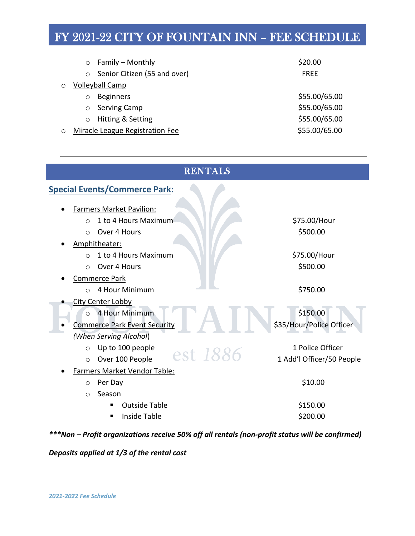|         | $\circ$    | Family – Monthly                | \$20.00       |  |
|---------|------------|---------------------------------|---------------|--|
|         | $\circ$    | Senior Citizen (55 and over)    | <b>FREE</b>   |  |
| $\circ$ |            | <b>Volleyball Camp</b>          |               |  |
|         | $\bigcirc$ | <b>Beginners</b>                | \$55.00/65.00 |  |
|         | $\circ$    | <b>Serving Camp</b>             | \$55.00/65.00 |  |
|         |            | Hitting & Setting               | \$55.00/65.00 |  |
| O       |            | Miracle League Registration Fee | \$55.00/65.00 |  |
|         |            |                                 |               |  |

| <b>RENTALS</b>                          |                           |  |  |  |  |
|-----------------------------------------|---------------------------|--|--|--|--|
| <b>Special Events/Commerce Park:</b>    |                           |  |  |  |  |
| <b>Farmers Market Pavilion:</b>         |                           |  |  |  |  |
| 1 to 4 Hours Maximum<br>$\circ$         | \$75.00/Hour              |  |  |  |  |
| Over 4 Hours<br>$\Omega$                | \$500.00                  |  |  |  |  |
| Amphitheater:                           |                           |  |  |  |  |
| 1 to 4 Hours Maximum<br>$\circ$         | \$75.00/Hour              |  |  |  |  |
| Over 4 Hours<br>$\Omega$                | \$500.00                  |  |  |  |  |
| <b>Commerce Park</b>                    |                           |  |  |  |  |
| 4 Hour Minimum<br>$\circ$               | \$750.00                  |  |  |  |  |
| <b>City Center Lobby</b>                |                           |  |  |  |  |
| 4 Hour Minimum<br>$\bigcirc$            | \$150.00                  |  |  |  |  |
| <b>Commerce Park Event Security</b>     | \$35/Hour/Police Officer  |  |  |  |  |
| (When Serving Alcohol)                  |                           |  |  |  |  |
| Up to 100 people<br>$\circ$<br>est 1886 | 1 Police Officer          |  |  |  |  |
| Over 100 People<br>$\circ$              | 1 Add'l Officer/50 People |  |  |  |  |
| Farmers Market Vendor Table:            |                           |  |  |  |  |
| Per Day<br>$\circ$                      | \$10.00                   |  |  |  |  |
| Season<br>$\circ$                       |                           |  |  |  |  |
| <b>Outside Table</b>                    | \$150.00                  |  |  |  |  |
| Inside Table                            | \$200.00                  |  |  |  |  |

*\*\*\*Non – Profit organizations receive 50% off all rentals (non-profit status will be confirmed)*

*Deposits applied at 1/3 of the rental cost*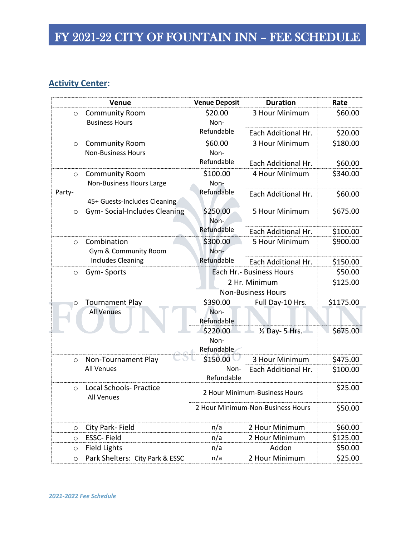#### **Activity Center:**

|         | Venue                                              | <b>Venue Deposit</b>           | <b>Duration</b>                            | Rate      |
|---------|----------------------------------------------------|--------------------------------|--------------------------------------------|-----------|
| $\circ$ | <b>Community Room</b><br><b>Business Hours</b>     | \$20.00<br>Non-                | 3 Hour Minimum                             | \$60.00   |
|         |                                                    | Refundable                     | Each Additional Hr.                        | \$20.00   |
| $\circ$ | <b>Community Room</b><br><b>Non-Business Hours</b> | \$60.00<br>Non-                | 3 Hour Minimum                             | \$180.00  |
|         |                                                    | Refundable                     | Each Additional Hr.                        | \$60.00   |
| $\circ$ | <b>Community Room</b><br>Non-Business Hours Large  | \$100.00<br>Non-               | 4 Hour Minimum                             | \$340.00  |
| Party-  | 45+ Guests-Includes Cleaning                       | Refundable                     | Each Additional Hr.                        | \$60.00   |
| $\circ$ | Gym-Social-Includes Cleaning                       | \$250.00<br>Non-               | 5 Hour Minimum                             | \$675.00  |
|         |                                                    | Refundable                     | Each Additional Hr.                        | \$100.00  |
| $\circ$ | Combination<br>Gym & Community Room                | \$300.00<br>Non-               | 5 Hour Minimum                             | \$900.00  |
|         | <b>Includes Cleaning</b>                           | Refundable                     | Each Additional Hr.                        | \$150.00  |
| $\circ$ | Gym-Sports                                         | Each Hr. - Business Hours      |                                            | \$50.00   |
|         |                                                    |                                | 2 Hr. Minimum<br><b>Non-Business Hours</b> | \$125.00  |
| $\circ$ | <b>Tournament Play</b>                             | \$390.00                       | Full Day-10 Hrs.                           | \$1175.00 |
|         | <b>All Venues</b>                                  | Non-<br>Refundable             |                                            |           |
|         |                                                    | \$220.00<br>Non-<br>Refundable | 1/2 Day- 5 Hrs.                            | \$675.00  |
| $\circ$ | Non-Tournament Play                                | \$150.00                       | 3 Hour Minimum                             | \$475.00  |
|         | <b>All Venues</b>                                  | Non-<br>Refundable             | Each Additional Hr.                        | \$100.00  |
| $\circ$ | <b>Local Schools- Practice</b><br>All Venues       | 2 Hour Minimum-Business Hours  |                                            | \$25.00   |
|         |                                                    |                                | 2 Hour Minimum-Non-Business Hours          | \$50.00   |
| $\circ$ | City Park- Field                                   | n/a                            | 2 Hour Minimum                             | \$60.00   |
| $\circ$ | ESSC-Field                                         | n/a                            | 2 Hour Minimum                             | \$125.00  |
| $\circ$ | <b>Field Lights</b>                                | n/a                            | Addon                                      | \$50.00   |
| $\circ$ | Park Shelters: City Park & ESSC                    | n/a                            | 2 Hour Minimum                             | \$25.00   |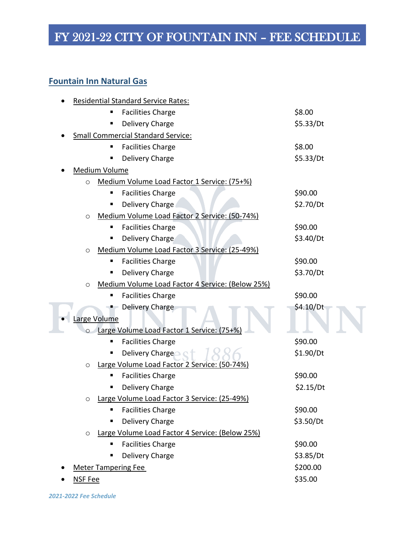#### **Fountain Inn Natural Gas**

| <b>Residential Standard Service Rates:</b>                  |           |
|-------------------------------------------------------------|-----------|
| <b>Facilities Charge</b>                                    | \$8.00    |
| Delivery Charge<br>п                                        | \$5.33/Dt |
| <b>Small Commercial Standard Service:</b>                   |           |
| <b>Facilities Charge</b><br>п                               | \$8.00    |
| Delivery Charge                                             | \$5.33/Dt |
| <b>Medium Volume</b>                                        |           |
| Medium Volume Load Factor 1 Service: (75+%)<br>$\circ$      |           |
| <b>Facilities Charge</b><br>п                               | \$90.00   |
| Delivery Charge<br>٠                                        | \$2.70/Dt |
| Medium Volume Load Factor 2 Service: (50-74%)<br>O          |           |
| <b>Facilities Charge</b>                                    | \$90.00   |
| Delivery Charge                                             | \$3.40/Dt |
| Medium Volume Load Factor 3 Service: (25-49%)<br>O          |           |
| <b>Facilities Charge</b><br>п                               | \$90.00   |
| Delivery Charge                                             | \$3.70/Dt |
| Medium Volume Load Factor 4 Service: (Below 25%)<br>$\circ$ |           |
| <b>Facilities Charge</b>                                    | \$90.00   |
| Delivery Charge                                             | \$4.10/Dt |
| Large Volume                                                |           |
| Large Volume Load Factor 1 Service: (75+%)<br>$\circ$       |           |
| <b>Facilities Charge</b><br>п                               | \$90.00   |
| Delivery Charge                                             | \$1.90/Dt |
| Large Volume Load Factor 2 Service: (50-74%)<br>$\circ$     |           |
| <b>Facilities Charge</b><br>п                               | \$90.00   |
| Delivery Charge                                             | \$2.15/Dt |
| o Large Volume Load Factor 3 Service: (25-49%)              |           |
| <b>Facilities Charge</b><br>٠                               | \$90.00   |
| Delivery Charge                                             | \$3.50/Dt |
| Large Volume Load Factor 4 Service: (Below 25%)<br>$\circ$  |           |
| <b>Facilities Charge</b><br>п                               | \$90.00   |
| Delivery Charge                                             | \$3.85/Dt |
| <b>Meter Tampering Fee</b>                                  | \$200.00  |
| <b>NSF Fee</b>                                              | \$35.00   |